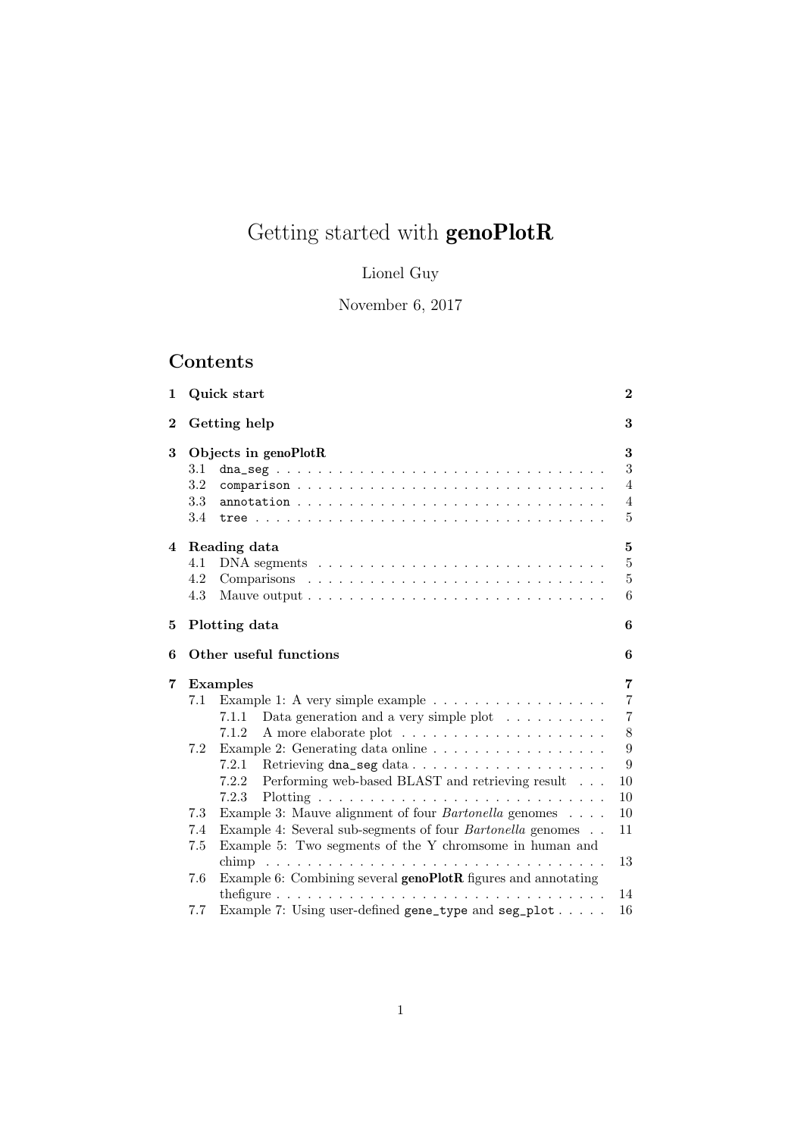# Getting started with  $\mathbf{genoPlotR}$

# Lionel Guy

November 6, 2017

# Contents

|                          |                                                                                                                                                                                                                                                                     | $\bf{2}$                                                                                                                          |
|--------------------------|---------------------------------------------------------------------------------------------------------------------------------------------------------------------------------------------------------------------------------------------------------------------|-----------------------------------------------------------------------------------------------------------------------------------|
|                          |                                                                                                                                                                                                                                                                     | 3                                                                                                                                 |
| 3.1<br>3.2<br>3.3<br>3.4 |                                                                                                                                                                                                                                                                     | 3<br>3<br>$\overline{4}$<br>$\overline{4}$<br>5                                                                                   |
| 4.1<br>4.2<br>4.3        |                                                                                                                                                                                                                                                                     | 5<br>$\overline{5}$<br>$\overline{5}$<br>6                                                                                        |
|                          |                                                                                                                                                                                                                                                                     | 6                                                                                                                                 |
|                          |                                                                                                                                                                                                                                                                     | 6                                                                                                                                 |
| 7.1<br>7.2               | Example 1: A very simple example $\ldots \ldots \ldots \ldots \ldots$<br>Data generation and a very simple plot $\ldots \ldots \ldots$<br>7.1.1<br>7.1.2<br>Example 2: Generating data online<br>7.2.1<br>Performing web-based BLAST and retrieving result<br>7.2.2 | 7<br>$\overline{7}$<br>$\overline{7}$<br>8<br>$\boldsymbol{9}$<br>9<br>10                                                         |
| 7.3<br>7.4<br>7.5        | 7.2.3<br>Example 3: Mauve alignment of four <i>Bartonella</i> genomes<br>Example 4: Several sub-segments of four <i>Bartonella</i> genomes<br>Example 5: Two segments of the Y chromsome in human and                                                               | 10<br>10<br>11<br>13                                                                                                              |
| 7.6<br>7.7               | Example 6: Combining several $\mathbf{genoPlotR}$ figures and annotating<br>Example 7: Using user-defined gene_type and seg_plot                                                                                                                                    | 14<br>16                                                                                                                          |
|                          |                                                                                                                                                                                                                                                                     | Quick start<br>Getting help<br>Objects in genoPlotR<br>Reading data<br>Plotting data<br>Other useful functions<br><b>Examples</b> |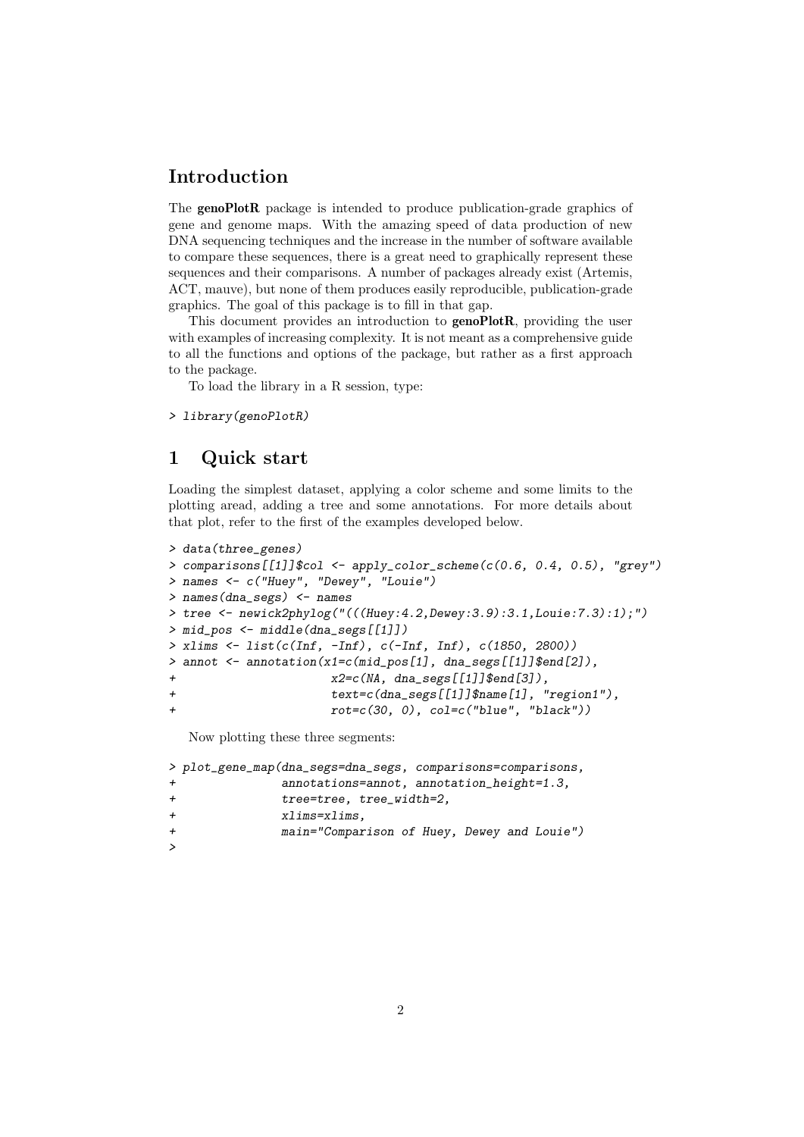# Introduction

The genoPlotR package is intended to produce publication-grade graphics of gene and genome maps. With the amazing speed of data production of new DNA sequencing techniques and the increase in the number of software available to compare these sequences, there is a great need to graphically represent these sequences and their comparisons. A number of packages already exist (Artemis, ACT, mauve), but none of them produces easily reproducible, publication-grade graphics. The goal of this package is to fill in that gap.

This document provides an introduction to **genoPlotR**, providing the user with examples of increasing complexity. It is not meant as a comprehensive guide to all the functions and options of the package, but rather as a first approach to the package.

To load the library in a R session, type:

```
> library(genoPlotR)
```
## 1 Quick start

Loading the simplest dataset, applying a color scheme and some limits to the plotting aread, adding a tree and some annotations. For more details about that plot, refer to the first of the examples developed below.

```
> data(three_genes)
> comparisons[[1]]$col \leq apply_color_scheme(c(0.6, 0.4, 0.5), "grey")
> names <- c("Huey", "Dewey", "Louie")
> names(dna_segs) <- names
> tree <- newick2phylog("(((Huey:4.2,Dewey:3.9):3.1,Louie:7.3):1);")
> mid_pos <- middle(dna_segs[[1]])
> xlims <- list(c(Inf, -Inf), c(-Inf, Inf), c(1850, 2800))
> annot <- annotation(x1=c(mid_pos[1], dna_segs[[1]]$end[2]),
x2=c(NA, dna\_segs[[1]]\umd(3]),
+ text=c(dna_segs[[1]]$name[1], "region1"),
+ rot=c(30, 0), col=c("blue", "black"))
```
Now plotting these three segments:

```
> plot_gene_map(dna_segs=dna_segs, comparisons=comparisons,
              annotations=annot, annotation_height=1.3,
+ tree=tree, tree_width=2,
+ xlims=xlims,
+ main="Comparison of Huey, Dewey and Louie")
\rightarrow
```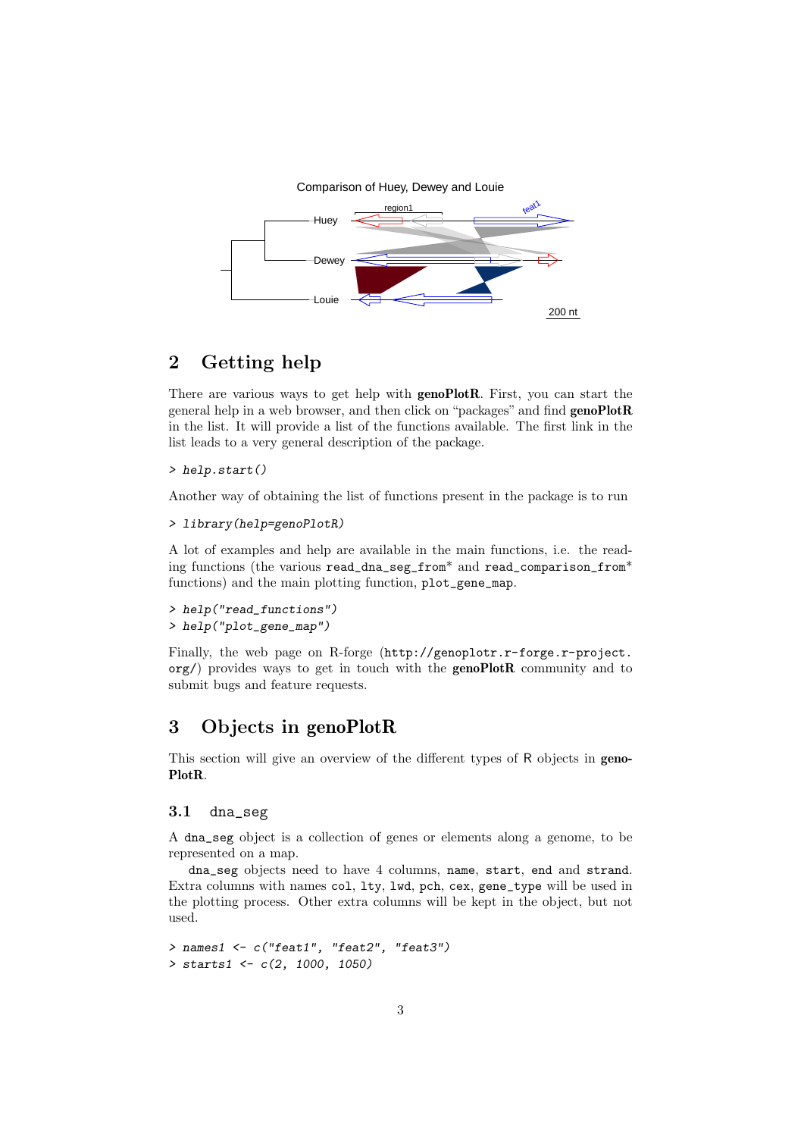

# 2 Getting help

There are various ways to get help with genoPlotR. First, you can start the general help in a web browser, and then click on "packages" and find genoPlotR in the list. It will provide a list of the functions available. The first link in the list leads to a very general description of the package.

> help.start()

Another way of obtaining the list of functions present in the package is to run

```
> library(help=genoPlotR)
```
A lot of examples and help are available in the main functions, i.e. the reading functions (the various read\_dna\_seg\_from\* and read\_comparison\_from\* functions) and the main plotting function, plot\_gene\_map.

> help("read\_functions") > help("plot\_gene\_map")

Finally, the web page on R-forge (http://genoplotr.r-forge.r-project.  $\sigma$ g/) provides ways to get in touch with the **genoPlotR** community and to submit bugs and feature requests.

# 3 Objects in genoPlotR

This section will give an overview of the different types of R objects in geno-PlotR.

### 3.1 dna\_seg

A dna\_seg object is a collection of genes or elements along a genome, to be represented on a map.

dna\_seg objects need to have 4 columns, name, start, end and strand. Extra columns with names col, lty, lwd, pch, cex, gene\_type will be used in the plotting process. Other extra columns will be kept in the object, but not used.

```
> names1 <- c("feat1", "feat2", "feat3")
> starts1 <- c(2, 1000, 1050)
```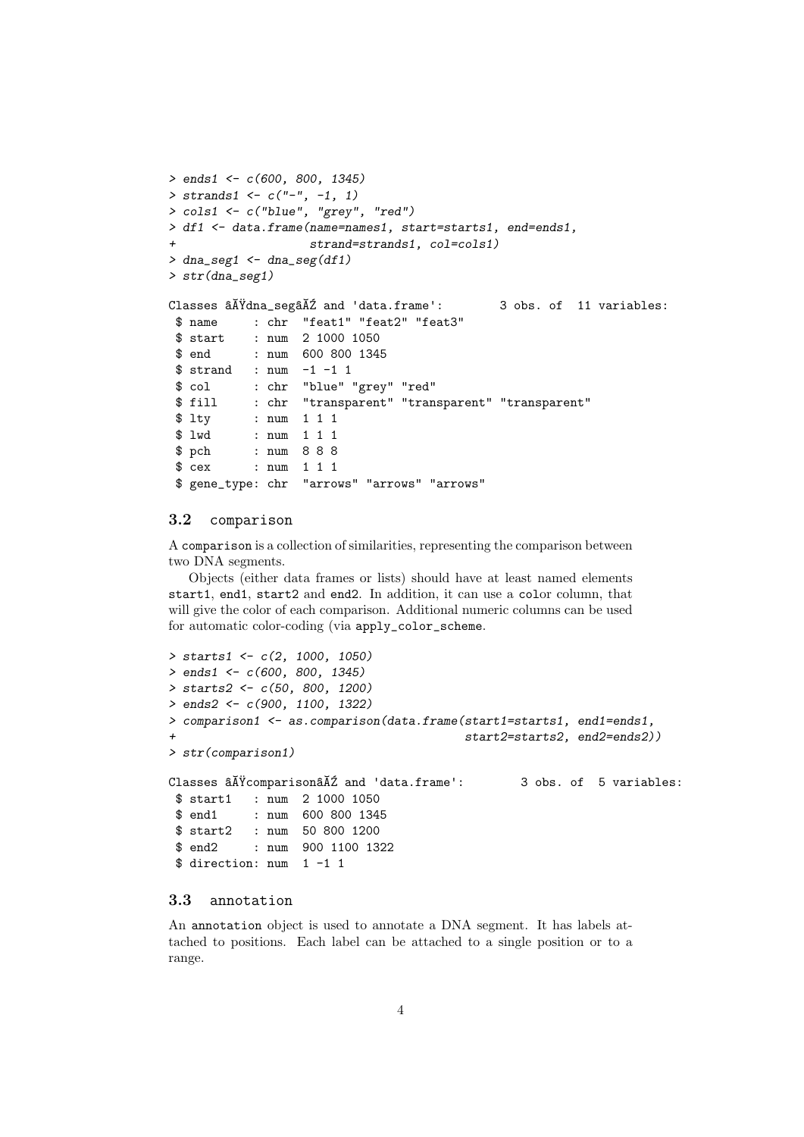```
> ends1 <- c(600, 800, 1345)> strands1 <- c("-", -1, 1)> cols1 <- c("blue", "grey", "red")
> df1 <- data.frame(name=names1, start=starts1, end=ends1,
                   strand=strands1, col=cols1)
> dna_seg1 <- dna_seg(df1)
> str(dna_seg1)
Classes \tilde{a}Aïdna_seg\tilde{a}A\tilde{z} and 'data.frame': 3 obs. of 11 variables:
$ name : chr "feat1" "feat2" "feat3"
$ start : num 2 1000 1050
$ end : num 600 800 1345
$ strand : num -1 -1 1
$ col : chr "blue" "grey" "red"
$ fill : chr "transparent" "transparent" "transparent"
$ lty : num 1 1 1
$ lwd : num 1 1 1
$ pch : num 8 8 8
$ cex : num 1 1 1
$ gene_type: chr "arrows" "arrows" "arrows"
```
#### 3.2 comparison

A comparison is a collection of similarities, representing the comparison between two DNA segments.

Objects (either data frames or lists) should have at least named elements start1, end1, start2 and end2. In addition, it can use a color column, that will give the color of each comparison. Additional numeric columns can be used for automatic color-coding (via apply\_color\_scheme.

```
> starts1 <- c(2, 1000, 1050)
> ends1 <- c(600, 800, 1345)
> starts2 <- c(50, 800, 1200)> ends2 <- c(900, 1100, 1322)
> comparison1 <- as.comparison(data.frame(start1=starts1, end1=ends1,
                                            start2=starts2, end2=ends2))
> str(comparison1)
Classes \tilde{a}\tilde{A} \tilde{Y}comparison\tilde{a}\tilde{A}\tilde{Z} and 'data.frame': 3 obs. of 5 variables:
 $ start1 : num 2 1000 1050
 $ end1 : num 600 800 1345
 $ start2 : num 50 800 1200
 $ end2 : num 900 1100 1322
 $ direction: num 1 -1 1
```
### 3.3 annotation

An annotation object is used to annotate a DNA segment. It has labels attached to positions. Each label can be attached to a single position or to a range.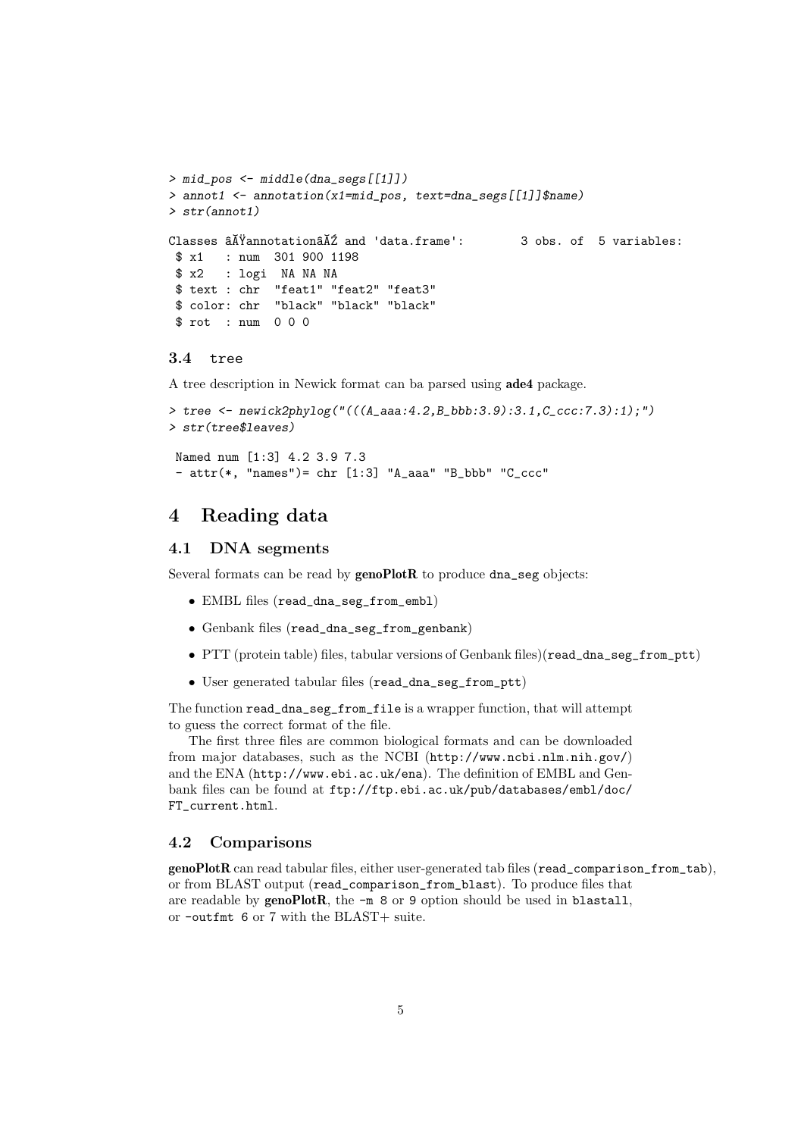```
> mid_pos <- middle(dna_segs[[1]])
> annot1 <- annotation(x1=mid_pos, text=dna_segs[[1]]$name)
> str(annot1)
Classes \tilde{a} \tilde{A} \tilde{Y}annotation\tilde{a} \tilde{A} \tilde{Z} and 'data.frame': 3 obs. of 5 variables:
 $ x1 : num 301 900 1198
 $ x2 : logi NA NA NA
 $ text : chr "feat1" "feat2" "feat3"
 $ color: chr "black" "black" "black"
 $ rot : num 0 0 0
```
#### 3.4 tree

A tree description in Newick format can ba parsed using ade4 package.

```
> tree <- newick2phylog("(((A_aaa:4.2,B_bbb:3.9):3.1,C_ccc:7.3):1);")
> str(tree$leaves)
Named num [1:3] 4.2 3.9 7.3
```
 $-$  attr(\*, "names")= chr  $[1:3]$  "A\_aaa" "B\_bbb" "C\_ccc"

### 4 Reading data

### 4.1 DNA segments

Several formats can be read by genoPlotR to produce dna\_seg objects:

- EMBL files (read\_dna\_seg\_from\_embl)
- Genbank files (read\_dna\_seg\_from\_genbank)
- PTT (protein table) files, tabular versions of Genbank files)(read\_dna\_seg\_from\_ptt)
- User generated tabular files (read\_dna\_seg\_from\_ptt)

The function read\_dna\_seg\_from\_file is a wrapper function, that will attempt to guess the correct format of the file.

The first three files are common biological formats and can be downloaded from major databases, such as the NCBI (http://www.ncbi.nlm.nih.gov/) and the ENA (http://www.ebi.ac.uk/ena). The definition of EMBL and Genbank files can be found at ftp://ftp.ebi.ac.uk/pub/databases/embl/doc/ FT\_current.html.

### 4.2 Comparisons

genoPlotR can read tabular files, either user-generated tab files (read\_comparison\_from\_tab), or from BLAST output (read\_comparison\_from\_blast). To produce files that are readable by  $\text{genoPlotR}$ , the  $-m$  8 or 9 option should be used in blastall, or -outfmt 6 or 7 with the BLAST+ suite.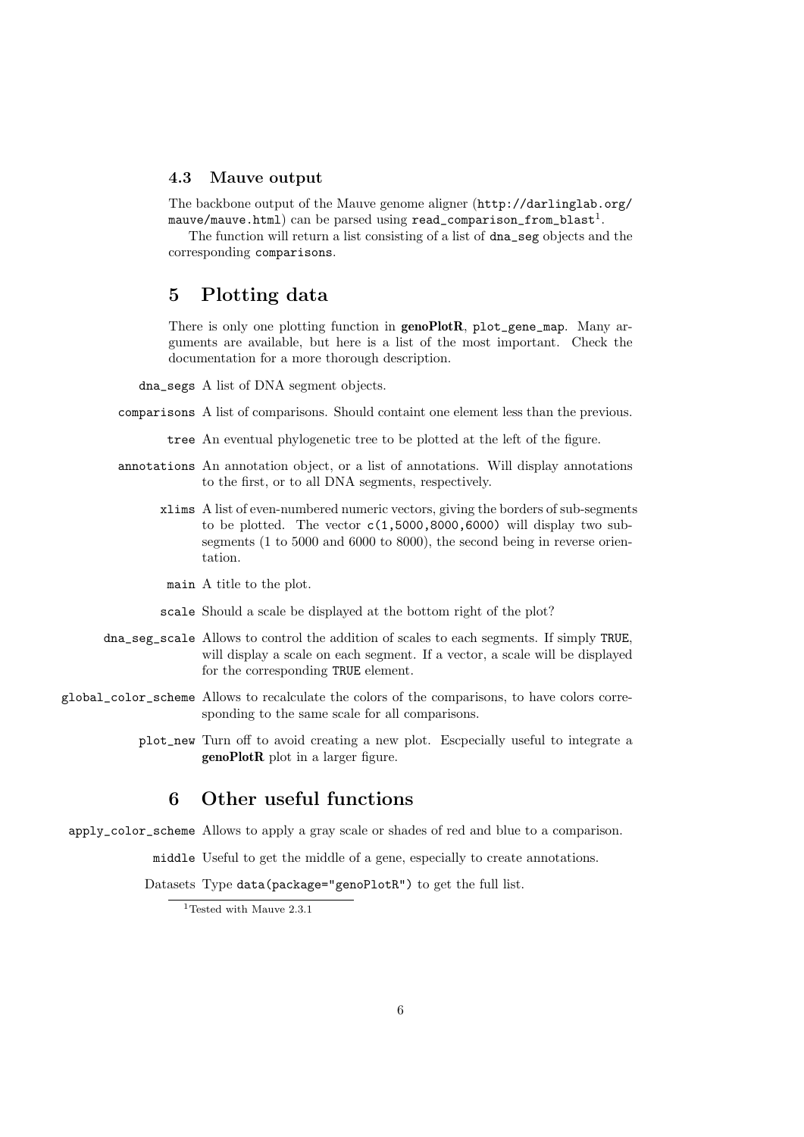### 4.3 Mauve output

The backbone output of the Mauve genome aligner (http://darlinglab.org/  $\texttt{mauve/mauve.html)}$   $\texttt{can be parsed using read\_comparison\_from\_blast}^1.$ 

The function will return a list consisting of a list of dna\_seg objects and the corresponding comparisons.

# 5 Plotting data

There is only one plotting function in **genoPlotR**, plot\_gene\_map. Many arguments are available, but here is a list of the most important. Check the documentation for a more thorough description.

dna\_segs A list of DNA segment objects.

comparisons A list of comparisons. Should containt one element less than the previous.

tree An eventual phylogenetic tree to be plotted at the left of the figure.

- annotations An annotation object, or a list of annotations. Will display annotations to the first, or to all DNA segments, respectively.
	- xlims A list of even-numbered numeric vectors, giving the borders of sub-segments to be plotted. The vector  $c(1,5000,8000,6000)$  will display two subsegments (1 to 5000 and 6000 to 8000), the second being in reverse orientation.
	- main A title to the plot.
	- scale Should a scale be displayed at the bottom right of the plot?
- dna\_seg\_scale Allows to control the addition of scales to each segments. If simply TRUE, will display a scale on each segment. If a vector, a scale will be displayed for the corresponding TRUE element.
- global\_color\_scheme Allows to recalculate the colors of the comparisons, to have colors corresponding to the same scale for all comparisons.
	- plot\_new Turn off to avoid creating a new plot. Escpecially useful to integrate a genoPlotR plot in a larger figure.

# 6 Other useful functions

apply\_color\_scheme Allows to apply a gray scale or shades of red and blue to a comparison.

middle Useful to get the middle of a gene, especially to create annotations.

Datasets Type data(package="genoPlotR") to get the full list.

<sup>1</sup>Tested with Mauve 2.3.1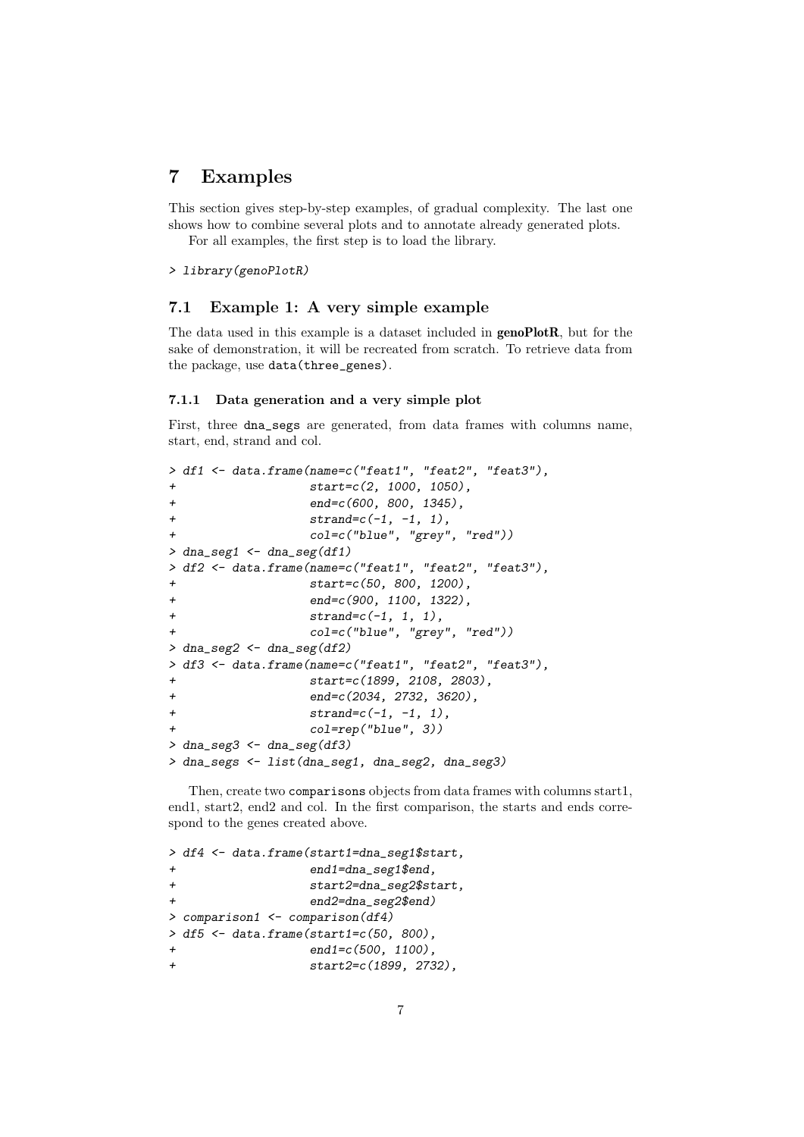## 7 Examples

This section gives step-by-step examples, of gradual complexity. The last one shows how to combine several plots and to annotate already generated plots. For all examples, the first step is to load the library.

> library(genoPlotR)

### 7.1 Example 1: A very simple example

The data used in this example is a dataset included in genoPlotR, but for the sake of demonstration, it will be recreated from scratch. To retrieve data from the package, use data(three\_genes).

### 7.1.1 Data generation and a very simple plot

First, three dna\_segs are generated, from data frames with columns name, start, end, strand and col.

```
> df1 <- data.frame(name=c("feat1", "feat2", "feat3"),
+ start=c(2, 1000, 1050),
+ end=c(600, 800, 1345),
+ strand = c(-1, -1, 1),+ col=c("blue", "grey", "red"))
> dna_seg1 <- dna_seg(df1)
> df2 <- data.frame(name=c("feat1", "feat2", "feat3"),
+ start=c(50, 800, 1200),
+ end=c(900, 1100, 1322),
+ strand=c(-1, 1, 1),
+ col=c("blue", "grey", "red"))
> dna_seg2 <- dna_seg(df2)
> df3 <- data.frame(name=c("feat1", "feat2", "feat3"),
+ start=c(1899, 2108, 2803),
+ end=c(2034, 2732, 3620),
+ strand = c(-1, -1, 1),+ col=rep("blue", 3))
> dna_seg3 <- dna_seg(df3)
> dna_segs <- list(dna_seg1, dna_seg2, dna_seg3)
```
Then, create two comparisons objects from data frames with columns start1, end1, start2, end2 and col. In the first comparison, the starts and ends correspond to the genes created above.

```
> df4 <- data.frame(start1=dna_seg1$start,
+ end1=dna_seg1$end,
+ start2=dna_seg2$start,
               end2=dna_seg2$end)
> comparison1 <- comparison(df4)
> df5 < - data.frame(start1=c(50, 800),
+ end1=c(500, 1100),
+ start2=c(1899, 2732),
```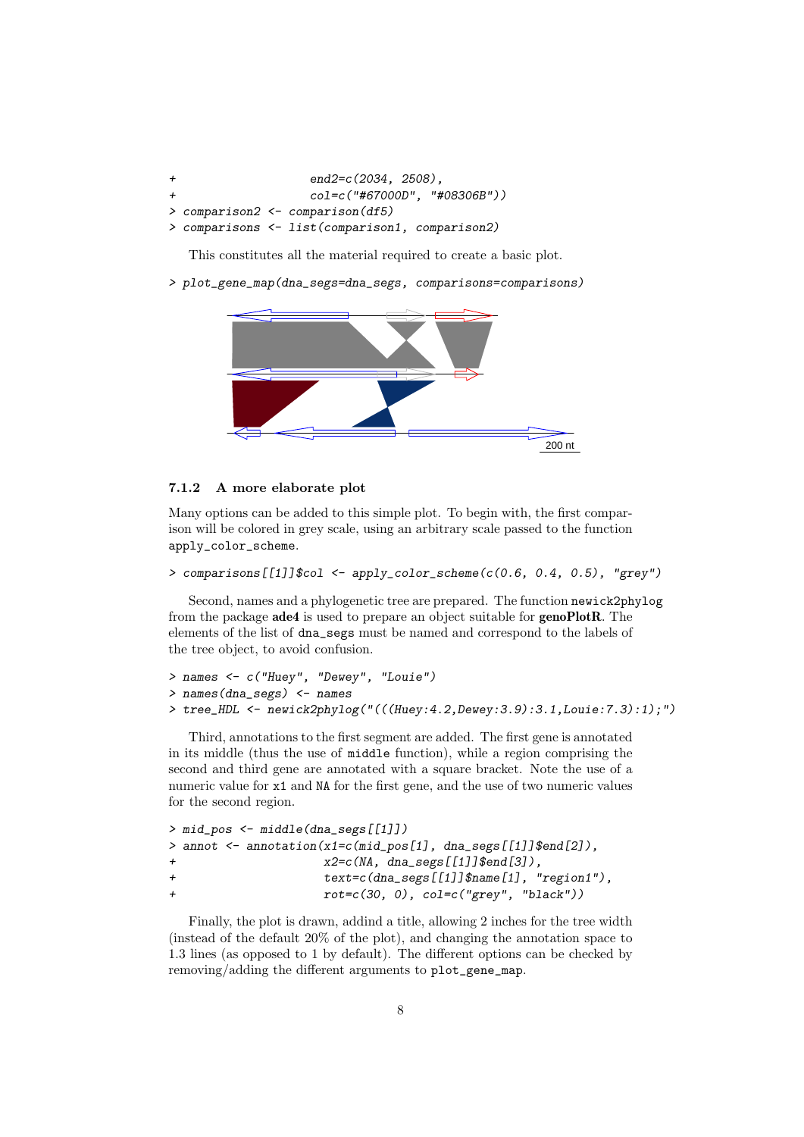+ end2=c(2034, 2508), + col=c("#67000D", "#08306B")) > comparison2 <- comparison(df5) > comparisons <- list(comparison1, comparison2)

This constitutes all the material required to create a basic plot.

> plot\_gene\_map(dna\_segs=dna\_segs, comparisons=comparisons)



#### 7.1.2 A more elaborate plot

Many options can be added to this simple plot. To begin with, the first comparison will be colored in grey scale, using an arbitrary scale passed to the function apply\_color\_scheme.

```
> comparisons[[1]]$col <- apply_color_scheme(c(0.6, 0.4, 0.5), "grey")
```
Second, names and a phylogenetic tree are prepared. The function newick2phylog from the package ade4 is used to prepare an object suitable for genoPlotR. The elements of the list of dna\_segs must be named and correspond to the labels of the tree object, to avoid confusion.

```
> names <- c("Huey", "Dewey", "Louie")
> names(dna_segs) <- names
> tree_HDL <- newick2phylog("(((Huey:4.2,Dewey:3.9):3.1,Louie:7.3):1);")
```
Third, annotations to the first segment are added. The first gene is annotated in its middle (thus the use of middle function), while a region comprising the second and third gene are annotated with a square bracket. Note the use of a numeric value for x1 and NA for the first gene, and the use of two numeric values for the second region.

```
> mid_pos <- middle(dna_segs[[1]])
> annot <- annotation(x1=c(mid_pos[1], dna_segs[[1]]$end[2]),
+ x2=c(NA, dna\_segs[[1]]$end[3]),+ text=c(dna_segs[[1]]$name[1], "region1"),
+ rot=c(30, 0), col=c("grey", "black"))
```
Finally, the plot is drawn, addind a title, allowing 2 inches for the tree width (instead of the default 20% of the plot), and changing the annotation space to 1.3 lines (as opposed to 1 by default). The different options can be checked by removing/adding the different arguments to plot\_gene\_map.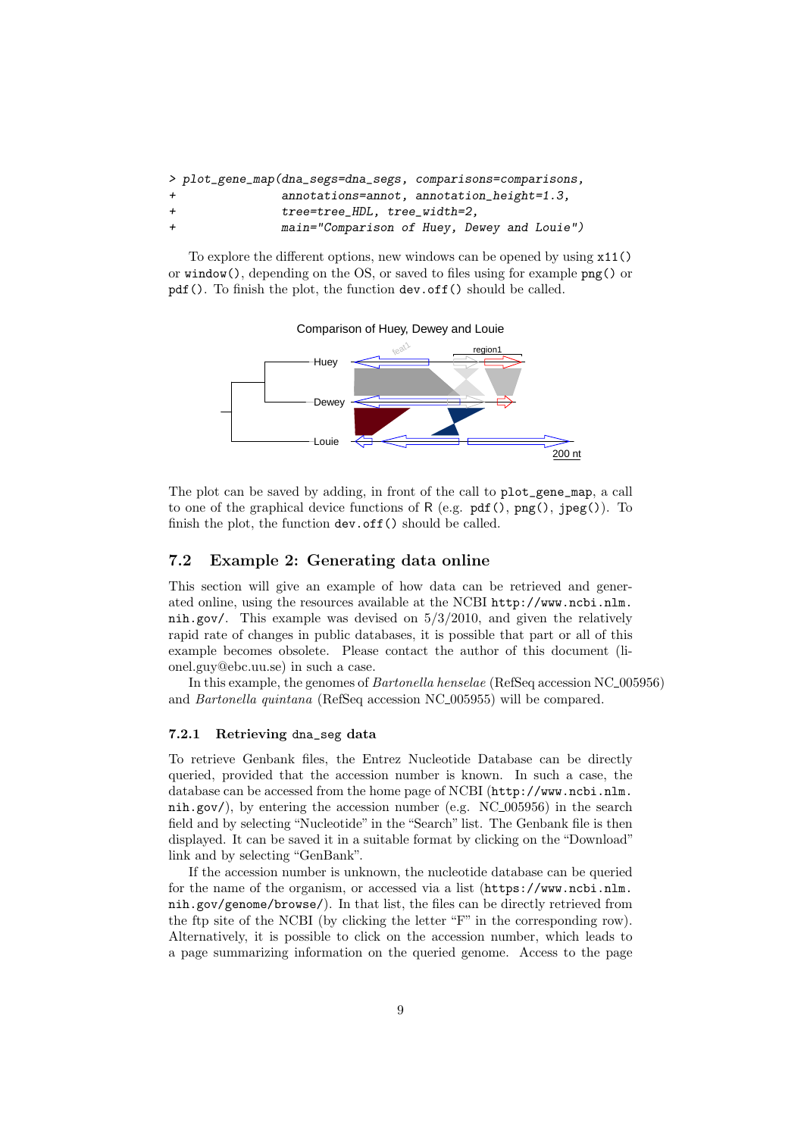|              | > plot_gene_map(dna_segs=dna_segs, comparisons=comparisons, |
|--------------|-------------------------------------------------------------|
| $+$          | annotations=annot, annotation_height=1.3,                   |
| $\leftarrow$ | tree=tree_HDL, tree_width=2,                                |
| $+$          | main="Comparison of Huey, Dewey and Louie")                 |

To explore the different options, new windows can be opened by using x11() or window(), depending on the OS, or saved to files using for example png() or pdf(). To finish the plot, the function dev.off() should be called.



The plot can be saved by adding, in front of the call to plot\_gene\_map, a call to one of the graphical device functions of  $R$  (e.g.  $pdf()$ ,  $png()$ ,  $jpeg()$ ). To finish the plot, the function dev.off() should be called.

### 7.2 Example 2: Generating data online

This section will give an example of how data can be retrieved and generated online, using the resources available at the NCBI http://www.ncbi.nlm. nih.gov/. This example was devised on 5/3/2010, and given the relatively rapid rate of changes in public databases, it is possible that part or all of this example becomes obsolete. Please contact the author of this document (lionel.guy@ebc.uu.se) in such a case.

In this example, the genomes of *Bartonella henselae* (RefSeq accession NC<sub>-005956</sub>) and *Bartonella quintana* (RefSeq accession NC<sub>-005955</sub>) will be compared.

### 7.2.1 Retrieving dna\_seg data

To retrieve Genbank files, the Entrez Nucleotide Database can be directly queried, provided that the accession number is known. In such a case, the database can be accessed from the home page of NCBI (http://www.ncbi.nlm. nih.gov/), by entering the accession number (e.g.  $NC_{0.05956}$ ) in the search field and by selecting "Nucleotide" in the "Search" list. The Genbank file is then displayed. It can be saved it in a suitable format by clicking on the "Download" link and by selecting "GenBank".

If the accession number is unknown, the nucleotide database can be queried for the name of the organism, or accessed via a list (https://www.ncbi.nlm. nih.gov/genome/browse/). In that list, the files can be directly retrieved from the ftp site of the NCBI (by clicking the letter "F" in the corresponding row). Alternatively, it is possible to click on the accession number, which leads to a page summarizing information on the queried genome. Access to the page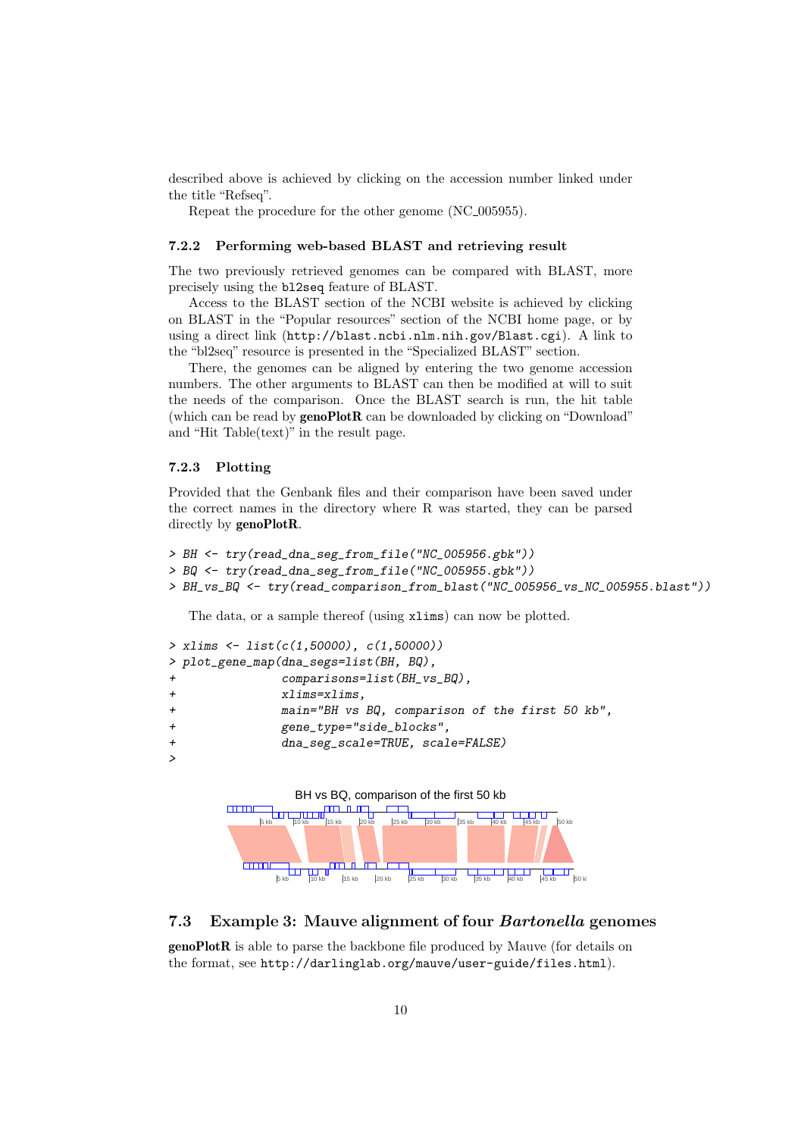described above is achieved by clicking on the accession number linked under the title "Refseq".

Repeat the procedure for the other genome (NC<sub>-005955</sub>).

### 7.2.2 Performing web-based BLAST and retrieving result

The two previously retrieved genomes can be compared with BLAST, more precisely using the bl2seq feature of BLAST.

Access to the BLAST section of the NCBI website is achieved by clicking on BLAST in the "Popular resources" section of the NCBI home page, or by using a direct link (http://blast.ncbi.nlm.nih.gov/Blast.cgi). A link to the "bl2seq" resource is presented in the "Specialized BLAST" section.

There, the genomes can be aligned by entering the two genome accession numbers. The other arguments to BLAST can then be modified at will to suit the needs of the comparison. Once the BLAST search is run, the hit table (which can be read by genoPlotR can be downloaded by clicking on "Download" and "Hit Table(text)" in the result page.

### 7.2.3 Plotting

Provided that the Genbank files and their comparison have been saved under the correct names in the directory where R was started, they can be parsed directly by genoPlotR.

```
> BH <- try(read_dna_seg_from_file("NC_005956.gbk"))
> BQ <- try(read_dna_seg_from_file("NC_005955.gbk"))
> BH_vs_BQ <- try(read_comparison_from_blast("NC_005956_vs_NC_005955.blast"))
```
The data, or a sample thereof (using xlims) can now be plotted.

```
> xlims <- list(c(1,50000), c(1,50000))
> plot_gene_map(dna_segs=list(BH, BQ),
             comparisons=list(BH_vs_BQ),
+ xlims=xlims,
+ main="BH vs BQ, comparison of the first 50 kb",
+ gene_type="side_blocks",
+ dna_seg_scale=TRUE, scale=FALSE)
>
```


### 7.3 Example 3: Mauve alignment of four Bartonella genomes

genoPlotR is able to parse the backbone file produced by Mauve (for details on the format, see http://darlinglab.org/mauve/user-guide/files.html).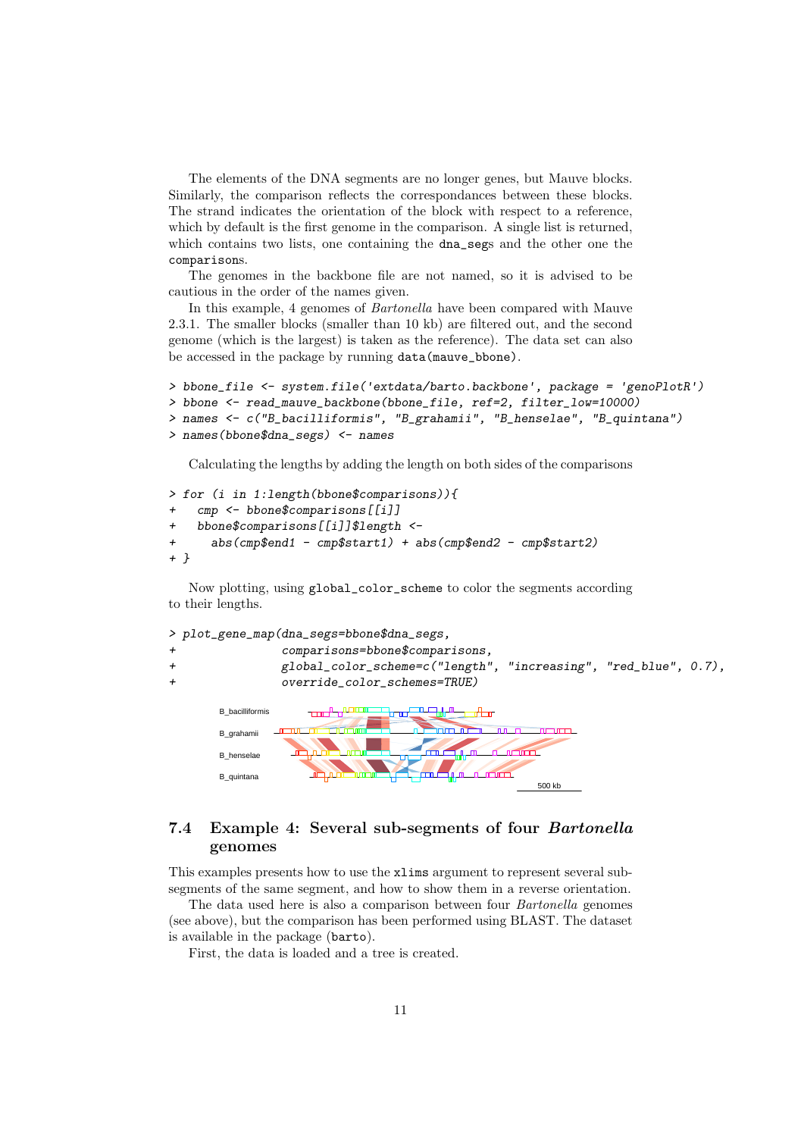The elements of the DNA segments are no longer genes, but Mauve blocks. Similarly, the comparison reflects the correspondances between these blocks. The strand indicates the orientation of the block with respect to a reference, which by default is the first genome in the comparison. A single list is returned, which contains two lists, one containing the dna\_segs and the other one the comparisons.

The genomes in the backbone file are not named, so it is advised to be cautious in the order of the names given.

In this example, 4 genomes of Bartonella have been compared with Mauve 2.3.1. The smaller blocks (smaller than 10 kb) are filtered out, and the second genome (which is the largest) is taken as the reference). The data set can also be accessed in the package by running data(mauve\_bbone).

```
> bbone_file <- system.file('extdata/barto.backbone', package = 'genoPlotR')
> bbone <- read_mauve_backbone(bbone_file, ref=2, filter_low=10000)
> names <- c("B_bacilliformis", "B_grahamii", "B_henselae", "B_quintana")
> names(bbone$dna_segs) <- names
```
Calculating the lengths by adding the length on both sides of the comparisons

```
> for (i in 1:length(bbone$comparisons)){
+ cmp <- bbone$comparisons[[i]]
   + bbone$comparisons[[i]]$length <-
+ abs(cmp$end1 - cmp$start1) + abs(cmp$end2 - cmp$start2)
+ }
```
Now plotting, using global\_color\_scheme to color the segments according to their lengths.



500 kb

### 7.4 Example 4: Several sub-segments of four Bartonella genomes

This examples presents how to use the xlims argument to represent several subsegments of the same segment, and how to show them in a reverse orientation.

The data used here is also a comparison between four Bartonella genomes (see above), but the comparison has been performed using BLAST. The dataset is available in the package (barto).

First, the data is loaded and a tree is created.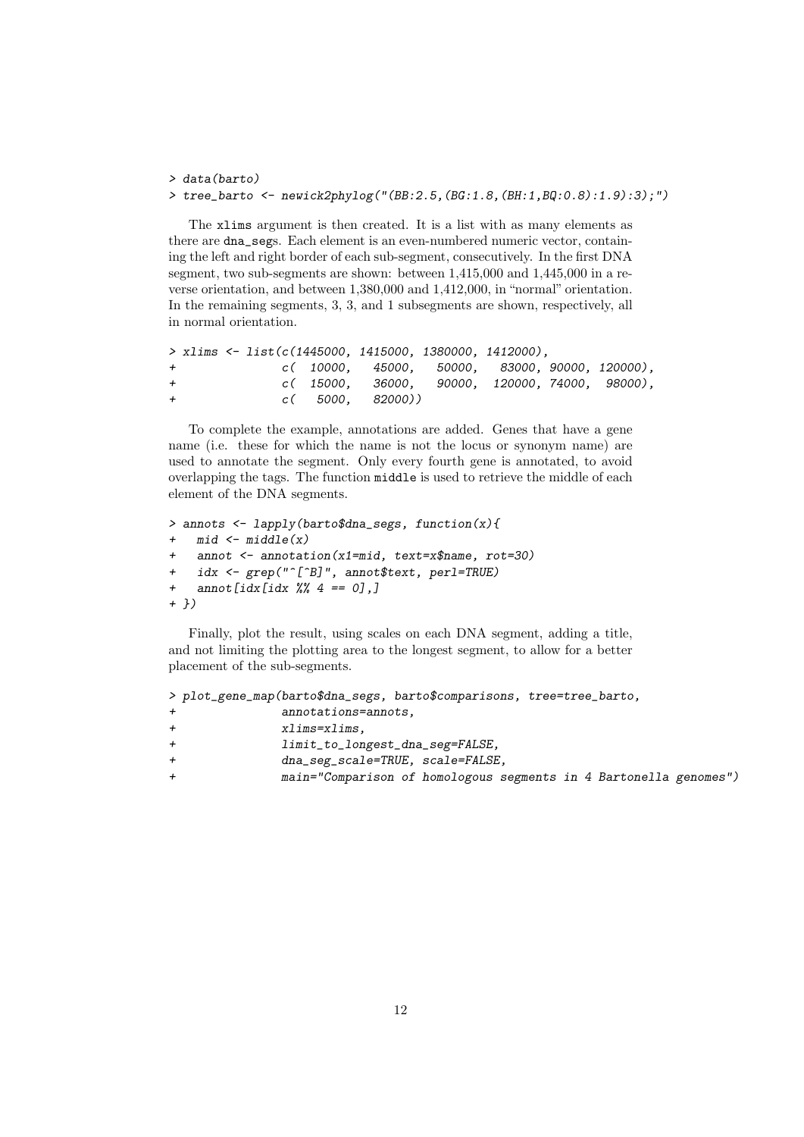```
> data(barto)
> tree_barto <- newick2phylog("(BB:2.5,(BG:1.8,(BH:1,BQ:0.8):1.9):3);")
```
The xlims argument is then created. It is a list with as many elements as there are dna\_segs. Each element is an even-numbered numeric vector, containing the left and right border of each sub-segment, consecutively. In the first DNA segment, two sub-segments are shown: between 1,415,000 and 1,445,000 in a reverse orientation, and between 1,380,000 and 1,412,000, in "normal" orientation. In the remaining segments, 3, 3, and 1 subsegments are shown, respectively, all in normal orientation.

```
> xlims <- list(c(1445000, 1415000, 1380000, 1412000),
+ c( 10000, 45000, 50000, 83000, 90000, 120000),
+ c( 15000, 36000, 90000, 120000, 74000, 98000),
+ c( 5000, 82000))
```
To complete the example, annotations are added. Genes that have a gene name (i.e. these for which the name is not the locus or synonym name) are used to annotate the segment. Only every fourth gene is annotated, to avoid overlapping the tags. The function middle is used to retrieve the middle of each element of the DNA segments.

```
> annots <- lapply(barto$dna_segs, function(x){
+ mid <- middle(x)
+ annot <- annotation(x1=mid, text=x$name, rot=30)
+ idx <- grep("^[^B]", annot$text, perl=TRUE)
+ annot[idx[idx % A == 0],]
+ })
```
Finally, plot the result, using scales on each DNA segment, adding a title, and not limiting the plotting area to the longest segment, to allow for a better placement of the sub-segments.

```
> plot_gene_map(barto$dna_segs, barto$comparisons, tree=tree_barto,
             annotations=annots,
+ xlims=xlims,
+ limit_to_longest_dna_seg=FALSE,
+ dna_seg_scale=TRUE, scale=FALSE,
+ main="Comparison of homologous segments in 4 Bartonella genomes")
```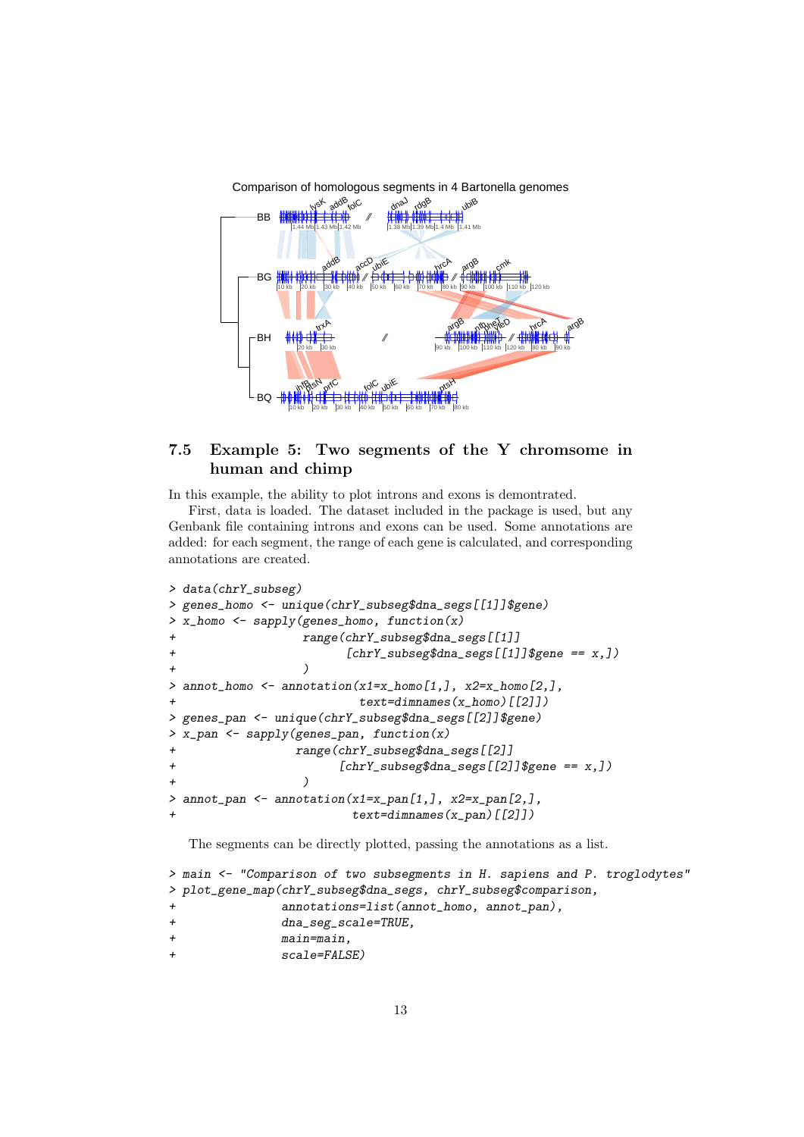

### 7.5 Example 5: Two segments of the Y chromsome in human and chimp

In this example, the ability to plot introns and exons is demontrated.

First, data is loaded. The dataset included in the package is used, but any Genbank file containing introns and exons can be used. Some annotations are added: for each segment, the range of each gene is calculated, and corresponding annotations are created.

```
> data(chrY_subseg)
> genes_homo <- unique(chrY_subseg$dna_segs[[1]]$gene)
 x_{\text{1}}homo <- sapply(genes_homo, function(x)
                  + range(chrY_subseg$dna_segs[[1]]
                         [chrY\_subseg$dna\_segs[[1]]$gene == x,])+ )
> annot_homo <- annotation(x1=x_homo[1,], x2=x_homo[2,],
                           text = dimnames(x_homo)[[2]])
> genes_pan <- unique(chrY_subseg$dna_segs[[2]]$gene)
> x_pan \leq sapply(genes_pan, function(x)
                 + range(chrY_subseg$dna_segs[[2]]
                        [chrY\_subseg$dna\_segs[[2]]$gene == x,])+ )
> annot_pan <- annotation(x1=x_pan[1,], x2=x_pan[2,],
                          text = dimnames(x\_pan)[[2]])
```
The segments can be directly plotted, passing the annotations as a list.

```
> main <- "Comparison of two subsegments in H. sapiens and P. troglodytes"
> plot_gene_map(chrY_subseg$dna_segs, chrY_subseg$comparison,
              annotations=list(annot_homo, annot_pan),
+ dna_seg_scale=TRUE,
+ main=main,
              scale=FALSE)
```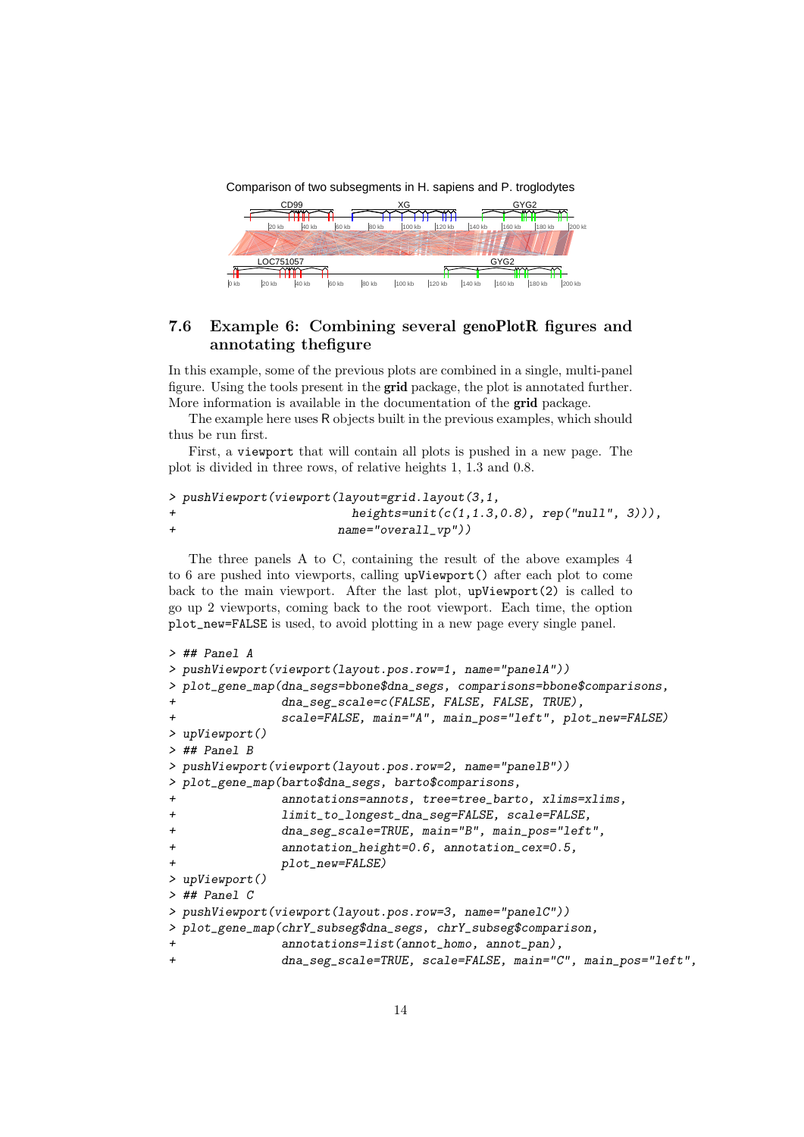Comparison of two subsegments in H. sapiens and P. troglodytes



## 7.6 Example 6: Combining several genoPlotR figures and annotating thefigure

In this example, some of the previous plots are combined in a single, multi-panel figure. Using the tools present in the grid package, the plot is annotated further. More information is available in the documentation of the grid package.

The example here uses R objects built in the previous examples, which should thus be run first.

First, a viewport that will contain all plots is pushed in a new page. The plot is divided in three rows, of relative heights 1, 1.3 and 0.8.

|        | > pushViewport(viewport(layout=grid.layout(3,1,    |  |
|--------|----------------------------------------------------|--|
| $\div$ | heights=unit( $c(1, 1.3, 0.8)$ , rep("null", 3))), |  |
| $\div$ | $name="overall_vpp'$ ))                            |  |

The three panels A to C, containing the result of the above examples 4 to 6 are pushed into viewports, calling upViewport() after each plot to come back to the main viewport. After the last plot, upViewport(2) is called to go up 2 viewports, coming back to the root viewport. Each time, the option plot\_new=FALSE is used, to avoid plotting in a new page every single panel.

```
> ## Panel A
> pushViewport(viewport(layout.pos.row=1, name="panelA"))
> plot_gene_map(dna_segs=bbone$dna_segs, comparisons=bbone$comparisons,
               dna_seg_scale=c(FALSE, FALSE, FALSE, TRUE),
               scale=FALSE, main="A", main_pos="left", plot_new=FALSE)
> upViewport()
> ## Panel B
> pushViewport(viewport(layout.pos.row=2, name="panelB"))
> plot_gene_map(barto$dna_segs, barto$comparisons,
               annotations=annots, tree=tree_barto, xlims=xlims,
               limit_to_longest_dna_seg=FALSE, scale=FALSE,
+ dna_seg_scale=TRUE, main="B", main_pos="left",
+ annotation_height=0.6, annotation_cex=0.5,
               plot_new=FALSE)
> upViewport()
> ## Panel C
> pushViewport(viewport(layout.pos.row=3, name="panelC"))
> plot_gene_map(chrY_subseg$dna_segs, chrY_subseg$comparison,
               annotations=list(annot_homo, annot_pan),
               + dna_seg_scale=TRUE, scale=FALSE, main="C", main_pos="left",
```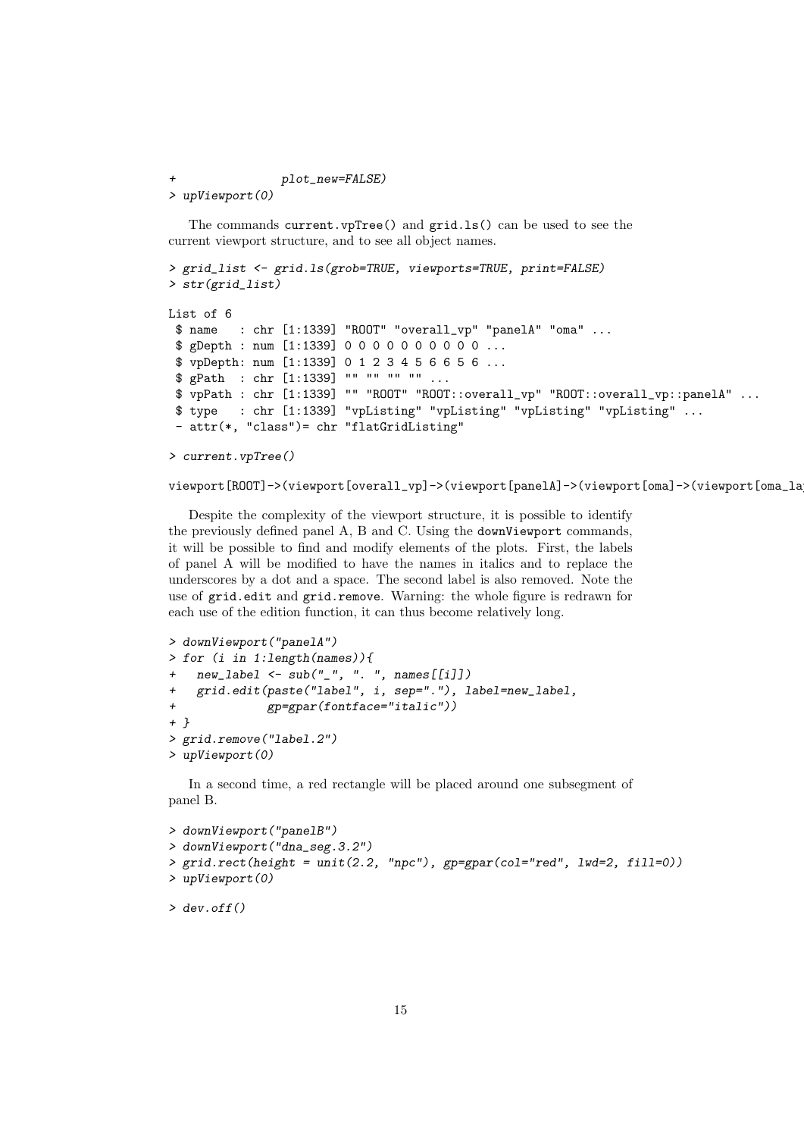plot\_new=FALSE) > upViewport(0)

The commands current.vpTree() and grid.ls() can be used to see the current viewport structure, and to see all object names.

```
> grid_list <- grid.ls(grob=TRUE, viewports=TRUE, print=FALSE)
> str(grid_list)
List of 6
 $ name : chr [1:1339] "ROOT" "overall_vp" "panelA" "oma" ...
 $ gDepth : num [1:1339] 0 0 0 0 0 0 0 0 0 0 ...
 $ vpDepth: num [1:1339] 0 1 2 3 4 5 6 6 5 6 ...
 $ gPath : chr [1:1339] "" "" "" "" ...
 $ vpPath : chr [1:1339] "" "ROOT" "ROOT::overall_vp" "ROOT::overall_vp::panelA" ...
 $ type : chr [1:1339] "vpListing" "vpListing" "vpListing" "vpListing" ...
 - attr(*, "class")= chr "flatGridListing"
```

```
> current.vpTree()
```

```
viewport[ROOT]->(viewport[overall_vp]->(viewport[panelA]->(viewport[oma]->(viewport[oma_la
```
Despite the complexity of the viewport structure, it is possible to identify the previously defined panel A, B and C. Using the downViewport commands, it will be possible to find and modify elements of the plots. First, the labels of panel A will be modified to have the names in italics and to replace the underscores by a dot and a space. The second label is also removed. Note the use of grid.edit and grid.remove. Warning: the whole figure is redrawn for each use of the edition function, it can thus become relatively long.

```
> downViewport("panelA")
> for (i in 1:length(names)){
   new\_label < -sub="sub("__", " . " , names[[i]])+ grid.edit(paste("label", i, sep="."), label=new_label,
              gp = gpar(fontface='italic"))+ }
> grid.remove("label.2")
> upViewport(0)
```
In a second time, a red rectangle will be placed around one subsegment of panel B.

```
> downViewport("panelB")
> downViewport("dna_seg.3.2")
> grid.rect(height = unit(2.2, "npc"), gp=gpar(col="red", lwd=2, fill=0))
> upViewport(0)
```

```
> dev.off()
```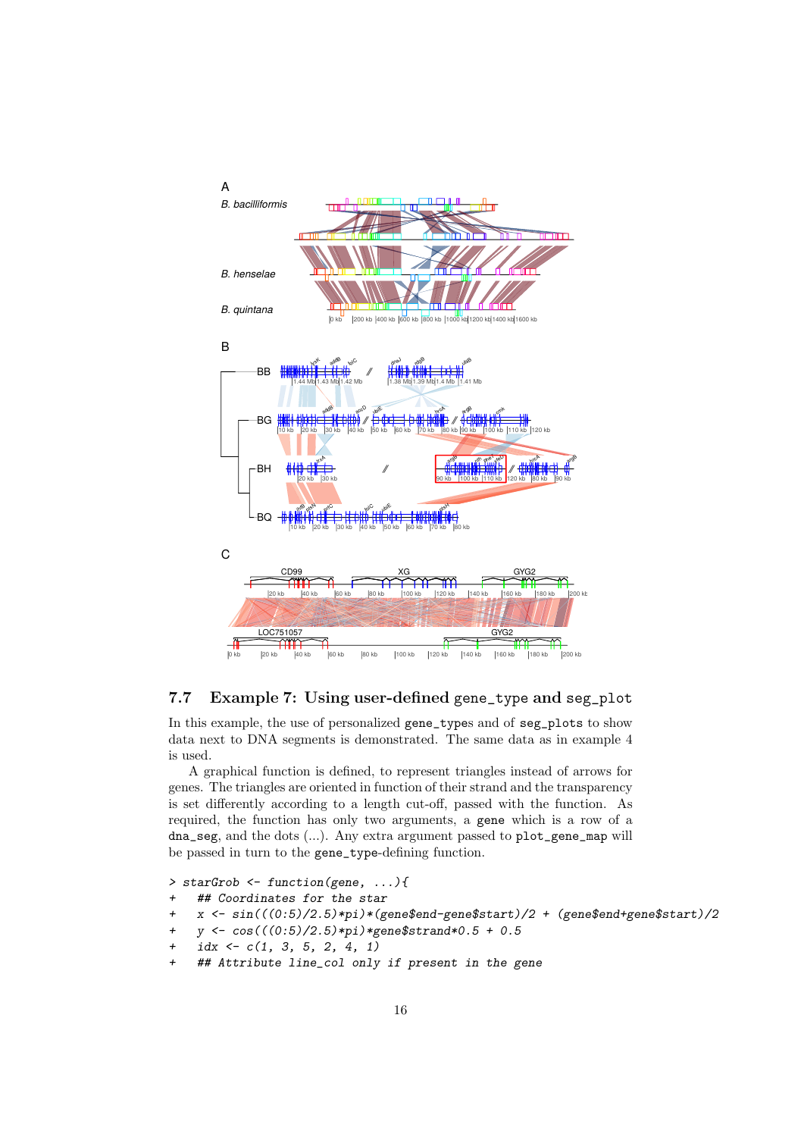

### 7.7 Example 7: Using user-defined gene\_type and seg\_plot

In this example, the use of personalized gene\_types and of seg\_plots to show data next to DNA segments is demonstrated. The same data as in example 4 is used.

A graphical function is defined, to represent triangles instead of arrows for genes. The triangles are oriented in function of their strand and the transparency is set differently according to a length cut-off, passed with the function. As required, the function has only two arguments, a gene which is a row of a dna\_seg, and the dots (...). Any extra argument passed to plot\_gene\_map will be passed in turn to the gene\_type-defining function.

```
> starGrob <- function(gene, ...){
    ## Coordinates for the star
    x \leftarrow \sin(((0.5)/2.5)*pi)*(gene$end-gene$start)/2 + (gene$end+gene$start)/2+ y <- cos(((0:5)/2.5)*pi)*gene$strand*0.5 + 0.5
    idx \leftarrow c(1, 3, 5, 2, 4, 1)## Attribute line_col only if present in the gene
```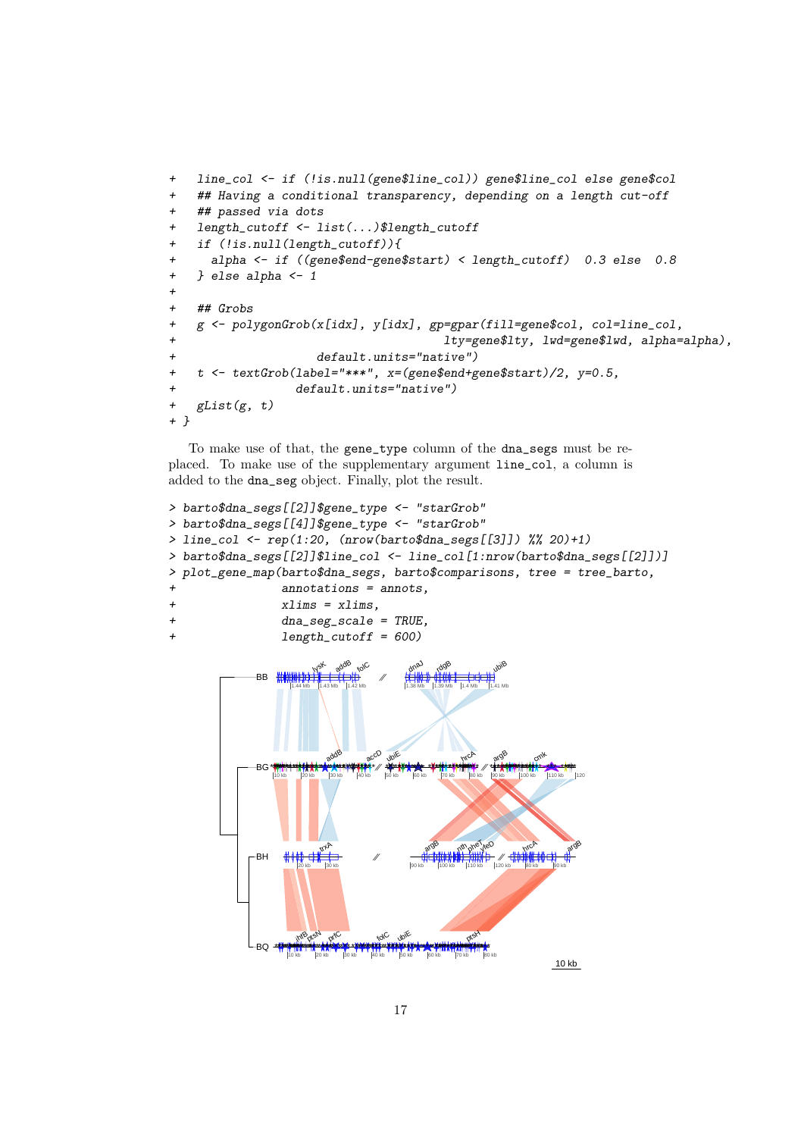```
+ line_col <- if (!is.null(gene$line_col)) gene$line_col else gene$col
+ ## Having a conditional transparency, depending on a length cut-off
+ ## passed via dots
+ length_cutoff <- list(...)$length_cutoff
+ if (!is.null(length_cutoff)){
+ alpha <- if ((gene$end-gene$start) < length_cutoff) 0.3 else 0.8
+ } else alpha <- 1
+
+ ## Grobs
+ g <- polygonGrob(x[idx], y[idx], gp=gpar(fill=gene$col, col=line_col,
+ lty=gene$lty, lwd=gene$lwd, alpha=alpha),
+ default.units="native")
+ t <- textGrob(label="***", x=(gene$end+gene$start)/2, y=0.5,
+ default.units="native")
+ gList(g, t)
+ }
```
To make use of that, the gene\_type column of the dna\_segs must be replaced. To make use of the supplementary argument line\_col, a column is added to the dna\_seg object. Finally, plot the result.

```
> barto$dna_segs[[2]]$gene_type <- "starGrob"
> barto$dna_segs[[4]]$gene_type <- "starGrob"
> line_col \leq rep(1:20, (nrow(barto$dna_segs[[3]]) %% 20)+1)
> barto$dna_segs[[2]]$line_col <- line_col[1:nrow(barto$dna_segs[[2]])]
> plot_gene_map(barto$dna_segs, barto$comparisons, tree = tree_barto,
              annotations = annots.
+ xlims = xlims,
+ dna_seg_scale = TRUE,
+ length_cutoff = 600)
```
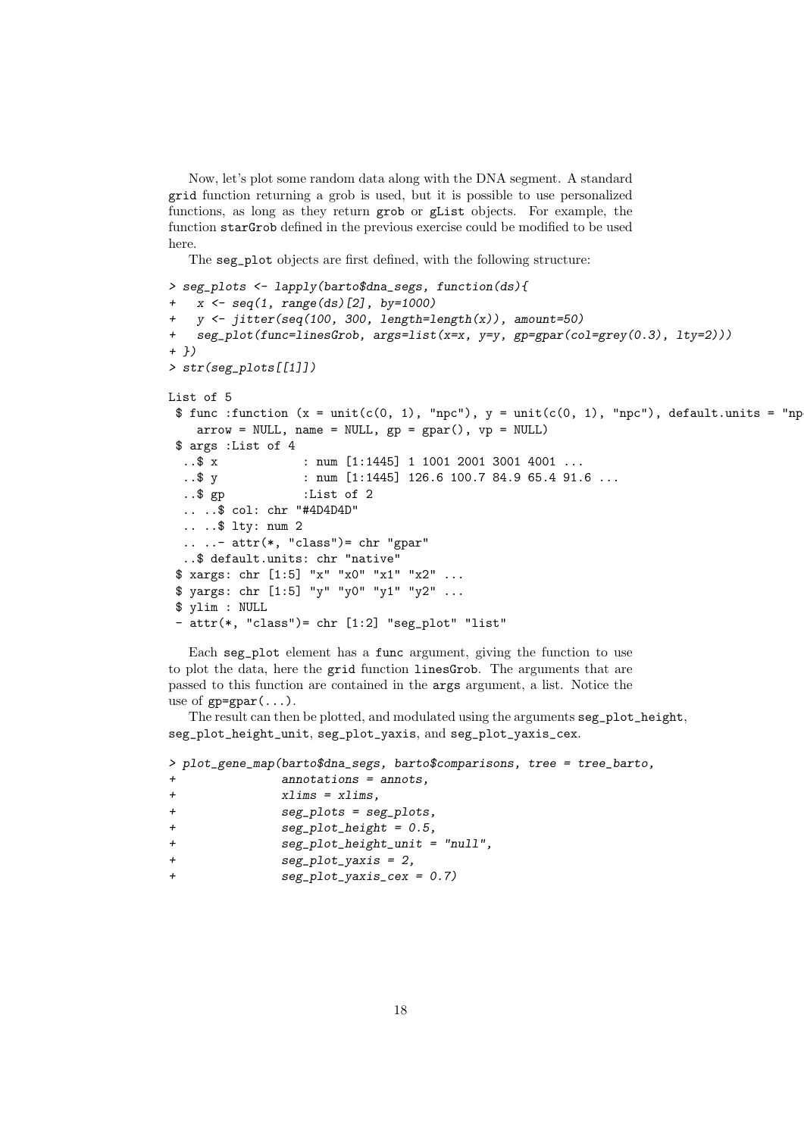Now, let's plot some random data along with the DNA segment. A standard grid function returning a grob is used, but it is possible to use personalized functions, as long as they return grob or gList objects. For example, the function starGrob defined in the previous exercise could be modified to be used here.

The seg\_plot objects are first defined, with the following structure:

```
> seg_plots <- lapply(barto$dna_segs, function(ds){
  x \leftarrow \text{seq}(1, \text{range}(ds)[2], \text{by=1000})+ y \leftarrow jitter(seq(100, 300, length=length(x)), amount=50)
+ seg_plot(func=linesGrob, args=list(x=x, y=y, gp=gpar(col=grey(0.3), lty=2)))
+ })
> str(seg_plots[[1]])
List of 5
 $ func:function (x = unit(c(0, 1), "npc"), y = unit(c(0, 1), "npc"), default.units = "nparrow = NULL, name = NULL, gp = gpar(), vp = NULL$ args :List of 4
  ..$ x : num [1:1445] 1 1001 2001 3001 4001 ...
  ..$ y : num [1:1445] 126.6 100.7 84.9 65.4 91.6 ...
  ..$ gp :List of 2
  .. ..$ col: chr "#4D4D4D"
  .. ..$ lty: num 2
  \ldots \ldots - attr(*, "class")= chr "gpar"
  ..$ default.units: chr "native"
 $ xargs: chr [1:5] "x" "x0" "x1" "x2" ...
 $ yargs: chr [1:5] "y" "y0" "y1" "y2" ...
 $ ylim : NULL
 - attr(*, "class")= chr [1:2] "seg_plot" "list"
```
Each seg\_plot element has a func argument, giving the function to use to plot the data, here the grid function linesGrob. The arguments that are passed to this function are contained in the args argument, a list. Notice the use of  $gp = gpar(\ldots)$ .

The result can then be plotted, and modulated using the arguments seg\_plot\_height, seg\_plot\_height\_unit, seg\_plot\_yaxis, and seg\_plot\_yaxis\_cex.

```
> plot_gene_map(barto$dna_segs, barto$comparisons, tree = tree_barto,
            annotations = annots,
+ xlims = xlims,
+ seg_plots = seg_plots,
+ seg_plot_height = 0.5,
+ seg_plot_height_unit = "null",
+ seg_plot_yaxis = 2,
            seg_plot_yaxis_cex = 0.7)
```